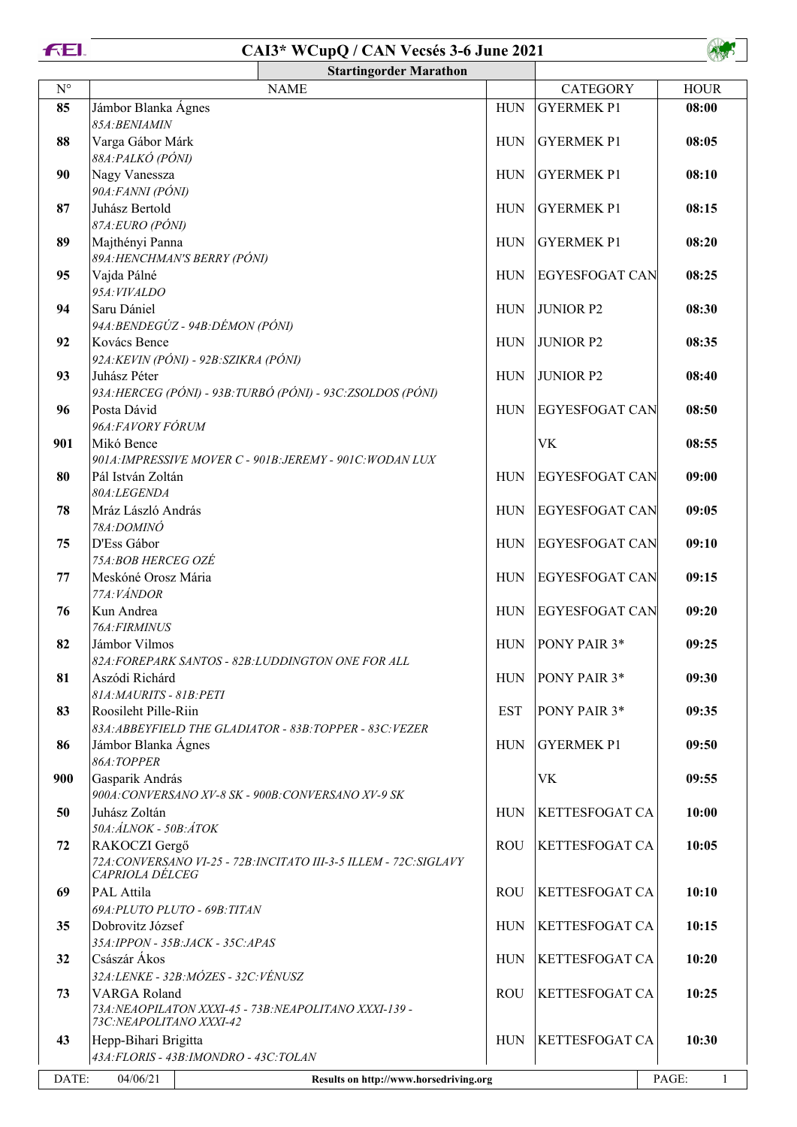



|                      | <b>Startingorder Marathon</b>                                                                     |                                                                    |            |                       |             |
|----------------------|---------------------------------------------------------------------------------------------------|--------------------------------------------------------------------|------------|-----------------------|-------------|
| $\mathbf{N}^{\circ}$ |                                                                                                   | <b>NAME</b>                                                        |            | <b>CATEGORY</b>       | <b>HOUR</b> |
| 85                   | Jámbor Blanka Ágnes<br>85A: BENIAMIN                                                              |                                                                    | <b>HUN</b> | <b>GYERMEK P1</b>     | 08:00       |
| 88                   | Varga Gábor Márk<br>88A: PALKÓ (PÓNI)                                                             |                                                                    | <b>HUN</b> | <b>GYERMEK P1</b>     | 08:05       |
| 90                   | Nagy Vanessza<br>90A: FANNI (PÓNI)                                                                |                                                                    | <b>HUN</b> | <b>GYERMEK P1</b>     | 08:10       |
| 87                   | Juhász Bertold<br>87A:EURO (PÓNI)                                                                 |                                                                    | <b>HUN</b> | <b>GYERMEK P1</b>     | 08:15       |
| 89                   | Majthényi Panna<br>89A: HENCHMAN'S BERRY (PÓNI)                                                   |                                                                    | <b>HUN</b> | <b>GYERMEK P1</b>     | 08:20       |
| 95                   | Vajda Pálné<br>95A: VIVALDO                                                                       |                                                                    | <b>HUN</b> | <b>EGYESFOGAT CAN</b> | 08:25       |
| 94                   | Saru Dániel<br>94A: BENDEGÚZ - 94B: DÉMON (PÓNI)                                                  |                                                                    | <b>HUN</b> | <b>JUNIOR P2</b>      | 08:30       |
| 92                   | Kovács Bence<br>92A: KEVIN (PÓNI) - 92B: SZIKRA (PÓNI)                                            |                                                                    | <b>HUN</b> | <b>JUNIOR P2</b>      | 08:35       |
| 93                   | Juhász Péter                                                                                      | 93A: HERCEG (PÓNI) - 93B: TURBÓ (PÓNI) - 93C: ZSOLDOS (PÓNI)       | <b>HUN</b> | <b>JUNIOR P2</b>      | 08:40       |
| 96                   | Posta Dávid<br>96A: FAVORY FÓRUM                                                                  |                                                                    | <b>HUN</b> | <b>EGYESFOGAT CAN</b> | 08:50       |
| 901                  | Mikó Bence                                                                                        | 901A: IMPRESSIVE MOVER C - 901B: JEREMY - 901C: WODAN LUX          |            | <b>VK</b>             | 08:55       |
| 80                   | Pál István Zoltán<br>80A:LEGENDA                                                                  |                                                                    | <b>HUN</b> | <b>EGYESFOGAT CAN</b> | 09:00       |
| 78                   | Mráz László András<br>78A:DOMINÓ                                                                  |                                                                    | <b>HUN</b> | <b>EGYESFOGAT CAN</b> | 09:05       |
| 75                   | D'Ess Gábor<br>75A:BOB HERCEG OZÉ                                                                 |                                                                    | <b>HUN</b> | <b>EGYESFOGAT CAN</b> | 09:10       |
| 77                   | Meskóné Orosz Mária<br>77A: VÁNDOR                                                                |                                                                    | <b>HUN</b> | EGYESFOGAT CAN        | 09:15       |
| 76                   | Kun Andrea<br>76A: FIRMINUS                                                                       |                                                                    | <b>HUN</b> | EGYESFOGAT CAN        | 09:20       |
| 82                   | Jámbor Vilmos<br>82A: FOREPARK SANTOS - 82B: LUDDINGTON ONE FOR ALL                               |                                                                    | <b>HUN</b> | PONY PAIR 3*          | 09:25       |
| 81                   | Aszódi Richárd<br>81A: MAURITS - 81B: PETI                                                        |                                                                    | <b>HUN</b> | PONY PAIR 3*          | 09:30       |
| 83                   | Roosileht Pille-Riin                                                                              | 83A: ABBEYFIELD THE GLADIATOR - 83B: TOPPER - 83C: VEZER           | <b>EST</b> | PONY PAIR 3*          | 09:35       |
| 86                   | Jámbor Blanka Ágnes<br>86A:TOPPER                                                                 |                                                                    | <b>HUN</b> | <b>GYERMEK P1</b>     | 09:50       |
| 900                  | Gasparik András<br>900A: CONVERSANO XV-8 SK - 900B: CONVERSANO XV-9 SK                            |                                                                    |            | VK                    | 09:55       |
| 50                   | Juhász Zoltán<br>50A: ÁLNOK - 50B: ÁTOK                                                           |                                                                    | <b>HUN</b> | <b>KETTESFOGAT CA</b> | 10:00       |
| 72                   | RAKOCZI Gergő<br>CAPRIOLA DÉLCEG                                                                  | 72A: CONVERSANO VI-25 - 72B: INCITATO III-3-5 ILLEM - 72C: SIGLAVY | <b>ROU</b> | <b>KETTESFOGAT CA</b> | 10:05       |
| 69                   | PAL Attila<br>69A: PLUTO PLUTO - 69B: TITAN                                                       |                                                                    | <b>ROU</b> | <b>KETTESFOGAT CA</b> | 10:10       |
| 35                   | Dobrovitz József<br>35A: IPPON - 35B: JACK - 35C: APAS                                            |                                                                    | <b>HUN</b> | <b>KETTESFOGAT CA</b> | 10:15       |
| 32                   | Császár Ákos<br>32A:LENKE - 32B:MÓZES - 32C:VÉNUSZ                                                |                                                                    | <b>HUN</b> | <b>KETTESFOGAT CA</b> | 10:20       |
| 73                   | VARGA Roland<br>73A: NEAOPILATON XXXI-45 - 73B: NEAPOLITANO XXXI-139 -<br>73C:NEAPOLITANO XXXI-42 |                                                                    | <b>ROU</b> | <b>KETTESFOGAT CA</b> | 10:25       |
| 43                   | Hepp-Bihari Brigitta<br>43A: FLORIS - 43B: IMONDRO - 43C: TOLAN                                   |                                                                    | <b>HUN</b> | <b>KETTESFOGAT CA</b> | 10:30       |
| DATE:                | 04/06/21                                                                                          | Results on http://www.horsedriving.org                             |            |                       | PAGE:<br>1  |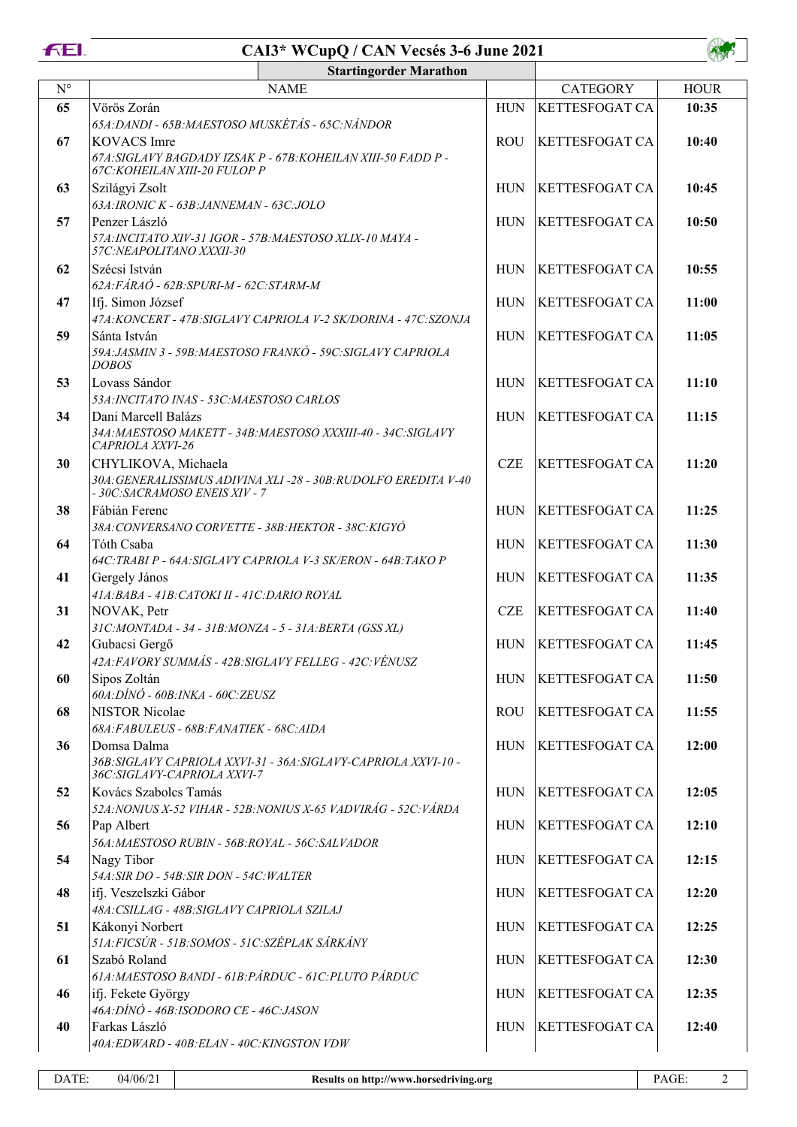

|             | <b>Startingorder Marathon</b>                                                                                          |            |                       |             |  |
|-------------|------------------------------------------------------------------------------------------------------------------------|------------|-----------------------|-------------|--|
| $N^{\circ}$ | <b>NAME</b>                                                                                                            |            | <b>CATEGORY</b>       | <b>HOUR</b> |  |
| 65          | Vörös Zorán<br>65A: DANDI - 65B: MAESTOSO MUSKÉTÁS - 65C: NÁNDOR                                                       | <b>HUN</b> | <b>KETTESFOGAT CA</b> | 10:35       |  |
| 67          | <b>KOVACS</b> Imre<br>67A: SIGLAVY BAGDADY IZSAK P - 67B: KOHEILAN XIII-50 FADD P -<br>67C: KOHEILAN XIII-20 FULOP P   | <b>ROU</b> | <b>KETTESFOGAT CA</b> | 10:40       |  |
| 63          | Szilágyi Zsolt<br>63A: IRONIC K - 63B: JANNEMAN - 63C: JOLO                                                            | <b>HUN</b> | <b>KETTESFOGAT CA</b> | 10:45       |  |
| 57          | Penzer László<br>57A: INCITATO XIV-31 IGOR - 57B: MAESTOSO XLIX-10 MAYA -<br>57C:NEAPOLITANO XXXII-30                  | <b>HUN</b> | <b>KETTESFOGAT CA</b> | 10:50       |  |
| 62          | Szécsi István<br>62A: FÁRAÓ - 62B: SPURI-M - 62C: STARM-M                                                              | <b>HUN</b> | <b>KETTESFOGAT CA</b> | 10:55       |  |
| 47          | Ifj. Simon József<br>47A: KONCERT - 47B: SIGLAVY CAPRIOLA V-2 SK/DORINA - 47C: SZONJA                                  | <b>HUN</b> | <b>KETTESFOGAT CA</b> | 11:00       |  |
| 59          | Sánta István<br>59A: JASMIN 3 - 59B: MAESTOSO FRANKÓ - 59C: SIGLAVY CAPRIOLA<br><b>DOBOS</b>                           | <b>HUN</b> | <b>KETTESFOGAT CA</b> | 11:05       |  |
| 53          | Lovass Sándor<br>53A: INCITATO INAS - 53C: MAESTOSO CARLOS                                                             | <b>HUN</b> | <b>KETTESFOGAT CA</b> | 11:10       |  |
| 34          | Dani Marcell Balázs<br>34A: MAESTOSO MAKETT - 34B: MAESTOSO XXXIII-40 - 34C: SIGLAVY<br>CAPRIOLA XXVI-26               | <b>HUN</b> | <b>KETTESFOGAT CA</b> | 11:15       |  |
| 30          | CHYLIKOVA, Michaela<br>30A: GENERALISSIMUS ADIVINA XLI-28 - 30B: RUDOLFO EREDITA V-40<br>- 30C:SACRAMOSO ENEIS XIV - 7 | <b>CZE</b> | <b>KETTESFOGAT CA</b> | 11:20       |  |
| 38          | Fábián Ferenc<br>38A: CONVERSANO CORVETTE - 38B: HEKTOR - 38C: KIGYÓ                                                   | <b>HUN</b> | <b>KETTESFOGAT CA</b> | 11:25       |  |
| 64          | Tóth Csaba<br>64C: TRABI P - 64A: SIGLAVY CAPRIOLA V-3 SK/ERON - 64B: TAKO P                                           | <b>HUN</b> | <b>KETTESFOGAT CA</b> | 11:30       |  |
| 41          | Gergely János                                                                                                          | <b>HUN</b> | <b>KETTESFOGAT CA</b> | 11:35       |  |
| 31          | 41A: BABA - 41B: CATOKI II - 41C: DARIO ROYAL<br>NOVAK, Petr                                                           | <b>CZE</b> | <b>KETTESFOGAT CA</b> | 11:40       |  |
| 42          | 31C:MONTADA - 34 - 31B:MONZA - 5 - 31A:BERTA (GSS XL)<br>Gubacsi Gergő                                                 | <b>HUN</b> | <b>KETTESFOGAT CA</b> | 11:45       |  |
| 60          | 42A:FAVORY SUMMÁS - 42B:SIGLAVY FELLEG - 42C:VÉNUSZ<br>Sipos Zoltán<br>$60A:DINO - 60B:INKA - 60C:ZEUSZ$               | <b>HUN</b> | <b>KETTESFOGAT CA</b> | 11:50       |  |
| 68          | <b>NISTOR Nicolae</b><br>68A: FABULEUS - 68B: FANATIEK - 68C: AIDA                                                     | <b>ROU</b> | <b>KETTESFOGAT CA</b> | 11:55       |  |
| 36          | Domsa Dalma<br>36B: SIGLAVY CAPRIOLA XXVI-31 - 36A: SIGLAVY-CAPRIOLA XXVI-10 -<br>36C: SIGLAVY-CAPRIOLA XXVI-7         | <b>HUN</b> | <b>KETTESFOGAT CA</b> | 12:00       |  |
| 52          | Kovács Szabolcs Tamás<br>52A: NONIUS X-52 VIHAR - 52B: NONIUS X-65 VADVIRÁG - 52C: VÁRDA                               | <b>HUN</b> | <b>KETTESFOGAT CA</b> | 12:05       |  |
| 56          | Pap Albert<br>56A: MAESTOSO RUBIN - 56B: ROYAL - 56C: SALVADOR                                                         | <b>HUN</b> | <b>KETTESFOGAT CA</b> | 12:10       |  |
| 54          | Nagy Tibor<br>54A: SIR DO - 54B: SIR DON - 54C: WALTER                                                                 | <b>HUN</b> | <b>KETTESFOGAT CA</b> | 12:15       |  |
| 48          | ifj. Veszelszki Gábor<br>48A: CSILLAG - 48B: SIGLAVY CAPRIOLA SZILAJ                                                   | <b>HUN</b> | <b>KETTESFOGAT CA</b> | 12:20       |  |
| 51          | Kákonyi Norbert<br>51A: FICSÚR - 51B: SOMOS - 51C: SZÉPLAK SÁRKÁNY                                                     | <b>HUN</b> | <b>KETTESFOGAT CA</b> | 12:25       |  |
| 61          | Szabó Roland<br>61A: MAESTOSO BANDI - 61B: PÁRDUC - 61C: PLUTO PÁRDUC                                                  | <b>HUN</b> | <b>KETTESFOGAT CA</b> | 12:30       |  |
| 46          | ifj. Fekete György<br>46A: DÍNÓ - 46B: ISODORO CE - 46C: JASON                                                         | <b>HUN</b> | <b>KETTESFOGAT CA</b> | 12:35       |  |
| 40          | Farkas László<br>40A: EDWARD - 40B: ELAN - 40C: KINGSTON VDW                                                           | <b>HUN</b> | <b>KETTESFOGAT CA</b> | 12:40       |  |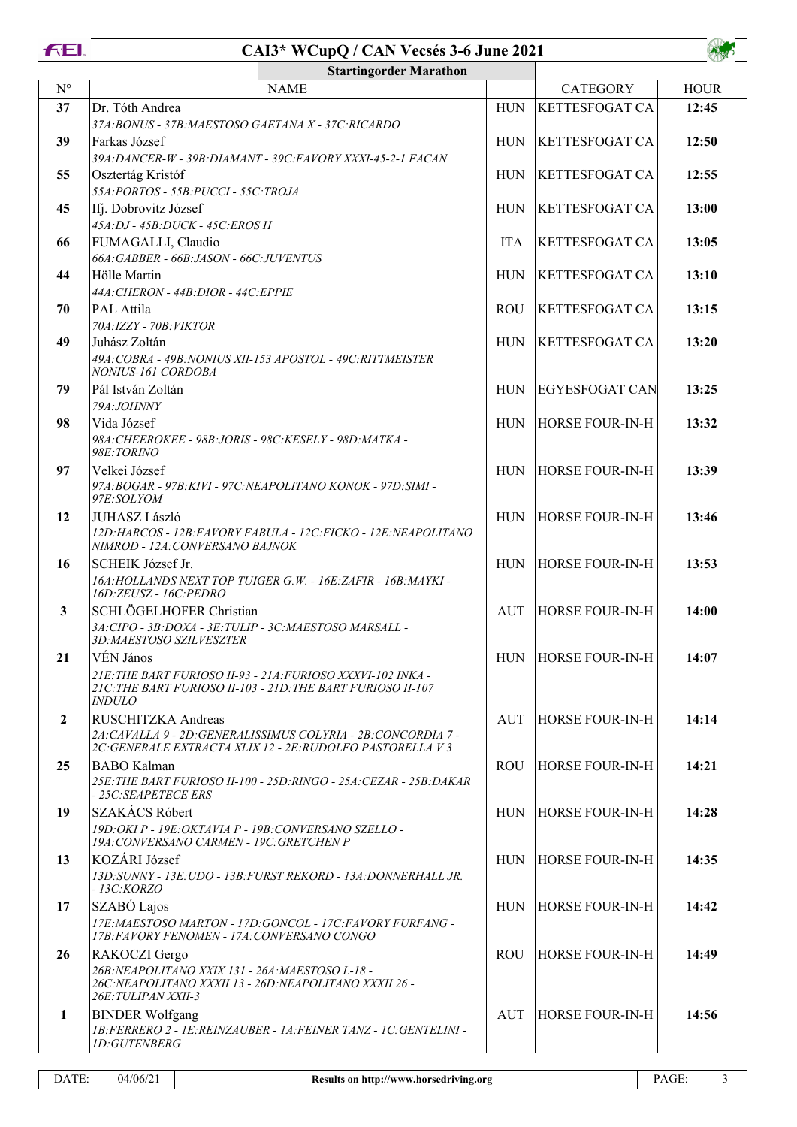|--|--|--|--|



| <b>Startingorder Marathon</b> |                                                                                                                                                          |            |  |                        |             |
|-------------------------------|----------------------------------------------------------------------------------------------------------------------------------------------------------|------------|--|------------------------|-------------|
| $N^{\circ}$                   | <b>NAME</b>                                                                                                                                              |            |  | <b>CATEGORY</b>        | <b>HOUR</b> |
| 37                            | Dr. Tóth Andrea<br>37A: BONUS - 37B: MAESTOSO GAETANA X - 37C: RICARDO                                                                                   | <b>HUN</b> |  | <b>KETTESFOGAT CA</b>  | 12:45       |
| 39                            | Farkas József<br>39A: DANCER-W - 39B: DIAMANT - 39C: FAVORY XXXI-45-2-1 FACAN                                                                            | <b>HUN</b> |  | <b>KETTESFOGAT CA</b>  | 12:50       |
| 55                            | Osztertág Kristóf<br>55A: PORTOS - 55B: PUCCI - 55C: TROJA                                                                                               | <b>HUN</b> |  | <b>KETTESFOGAT CA</b>  | 12:55       |
| 45                            | Ifj. Dobrovitz József<br>45A:DJ - 45B:DUCK - 45C:EROS H                                                                                                  | <b>HUN</b> |  | <b>KETTESFOGAT CA</b>  | 13:00       |
| 66                            | FUMAGALLI, Claudio<br>66A: GABBER - 66B: JASON - 66C: JUVENTUS                                                                                           | <b>ITA</b> |  | <b>KETTESFOGAT CA</b>  | 13:05       |
| 44                            | Hölle Martin<br>44A: CHERON - 44B: DIOR - 44C: EPPIE                                                                                                     | <b>HUN</b> |  | <b>KETTESFOGAT CA</b>  | 13:10       |
| 70                            | PAL Attila<br>70A: IZZY - 70B: VIKTOR                                                                                                                    | <b>ROU</b> |  | <b>KETTESFOGAT CA</b>  | 13:15       |
| 49                            | Juhász Zoltán<br>49A: COBRA - 49B: NONIUS XII-153 APOSTOL - 49C: RITTMEISTER<br>NONIUS-161 CORDOBA                                                       | <b>HUN</b> |  | <b>KETTESFOGAT CA</b>  | 13:20       |
| 79                            | Pál István Zoltán<br>79A:JOHNNY                                                                                                                          | <b>HUN</b> |  | <b>EGYESFOGAT CAN</b>  | 13:25       |
| 98                            | Vida József<br>98A: CHEEROKEE - 98B: JORIS - 98C: KESELY - 98D: MATKA -<br>98E:TORINO                                                                    | <b>HUN</b> |  | <b>HORSE FOUR-IN-H</b> | 13:32       |
| 97                            | Velkei József<br>97A:BOGAR - 97B:KIVI - 97C:NEAPOLITANO KONOK - 97D:SIMI -<br>97E:SOLYOM                                                                 | <b>HUN</b> |  | <b>HORSE FOUR-IN-H</b> | 13:39       |
| 12                            | JUHASZ László<br>12D: HARCOS - 12B: FAVORY FABULA - 12C: FICKO - 12E: NEAPOLITANO<br>NIMROD - 12A: CONVERSANO BAJNOK                                     | <b>HUN</b> |  | <b>HORSE FOUR-IN-H</b> | 13:46       |
| 16                            | SCHEIK József Jr.<br>16A: HOLLANDS NEXT TOP TUIGER G.W. - 16E: ZAFIR - 16B: MAYKI -<br>16D:ZEUSZ - 16C:PEDRO                                             | <b>HUN</b> |  | <b>HORSE FOUR-IN-H</b> | 13:53       |
| 3                             | SCHLÖGELHOFER Christian<br>3A: CIPO - 3B: DOXA - 3E: TULIP - 3C: MAESTOSO MARSALL -<br>3D: MAESTOSO SZILVESZTER                                          | AUT        |  | <b>HORSE FOUR-IN-H</b> | 14:00       |
| 21                            | VÉN János<br>21E: THE BART FURIOSO II-93 - 21A: FURIOSO XXXVI-102 INKA -<br>21C: THE BART FURIOSO II-103 - 21D: THE BART FURIOSO II-107<br><b>INDULO</b> | <b>HUN</b> |  | <b>HORSE FOUR-IN-H</b> | 14:07       |
| $\overline{2}$                | RUSCHITZKA Andreas<br>2A: CAVALLA 9 - 2D: GENERALISSIMUS COLYRIA - 2B: CONCORDIA 7 -<br>2C: GENERALE EXTRACTA XLIX 12 - 2E: RUDOLFO PASTORELLA V 3       | AUT        |  | <b>HORSE FOUR-IN-H</b> | 14:14       |
| 25                            | <b>BABO</b> Kalman<br>25E: THE BART FURIOSO II-100 - 25D: RINGO - 25A: CEZAR - 25B: DAKAR<br>- 25C: SEAPETECE ERS                                        | <b>ROU</b> |  | <b>HORSE FOUR-IN-H</b> | 14:21       |
| 19                            | SZAKÁCS Róbert<br>19D: OKI P - 19E: OKTAVIA P - 19B: CONVERSANO SZELLO -<br>19A: CONVERSANO CARMEN - 19C: GRETCHEN P                                     | <b>HUN</b> |  | <b>HORSE FOUR-IN-H</b> | 14:28       |
| 13                            | KOZÁRI József<br>13D: SUNNY - 13E: UDO - 13B: FURST REKORD - 13A: DONNERHALL JR.<br><i>- 13C:KORZO</i>                                                   | <b>HUN</b> |  | <b>HORSE FOUR-IN-H</b> | 14:35       |
| 17                            | SZABÓ Lajos<br>17E: MAESTOSO MARTON - 17D: GONCOL - 17C: FAVORY FURFANG -<br>17B: FAVORY FENOMEN - 17A: CONVERSANO CONGO                                 | <b>HUN</b> |  | <b>HORSE FOUR-IN-H</b> | 14:42       |
| 26                            | RAKOCZI Gergo<br>26B: NEAPOLITANO XXIX 131 - 26A: MAESTOSO L-18 -<br>26C: NEAPOLITANO XXXII 13 - 26D: NEAPOLITANO XXXII 26 -<br>26E: TULIPAN XXII-3      | <b>ROU</b> |  | <b>HORSE FOUR-IN-H</b> | 14:49       |
| 1                             | <b>BINDER Wolfgang</b><br>1B: FERRERO 2 - 1E: REINZAUBER - 1A: FEINER TANZ - 1C: GENTELINI -<br>1D:GUTENBERG                                             | <b>AUT</b> |  | <b>HORSE FOUR-IN-H</b> | 14:56       |